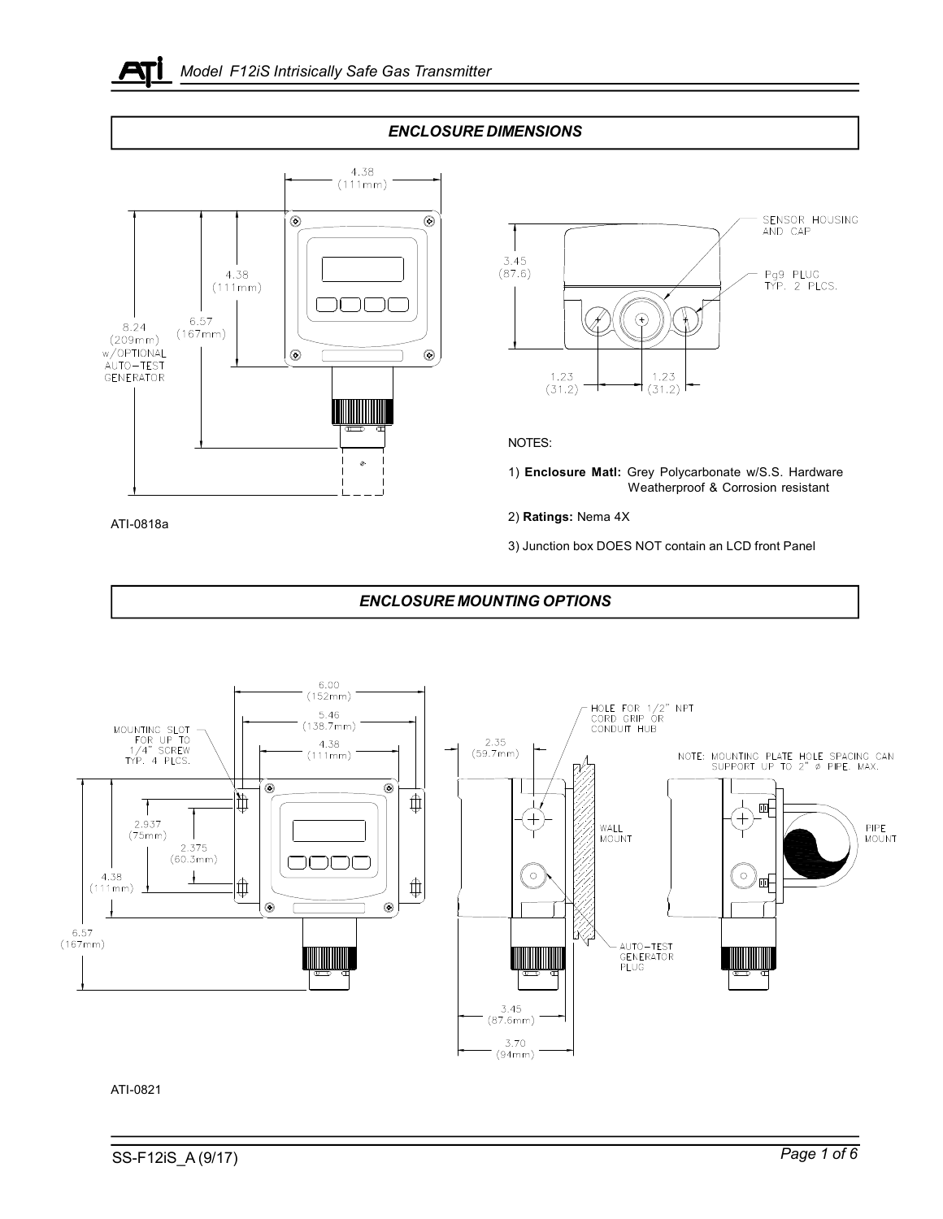





ATI-0821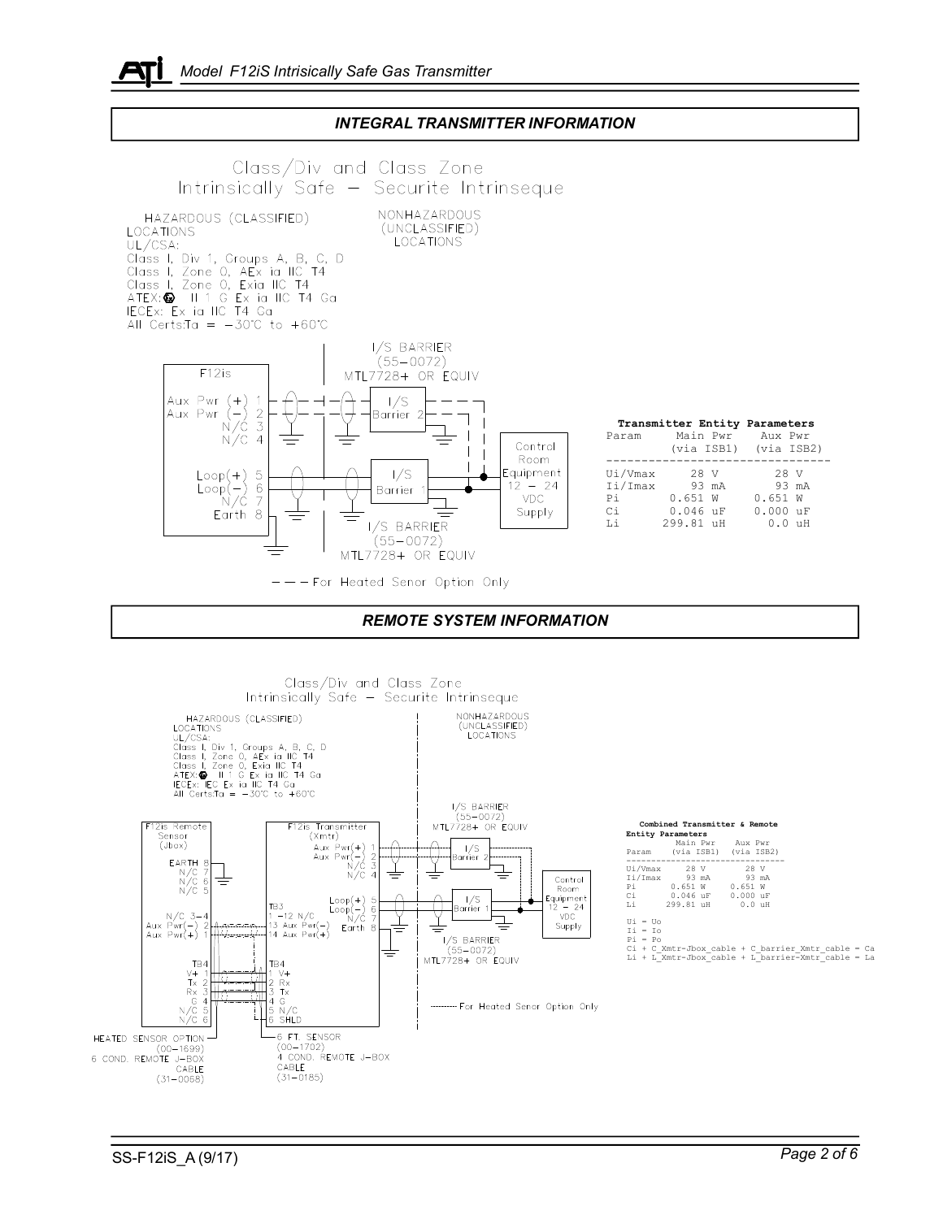

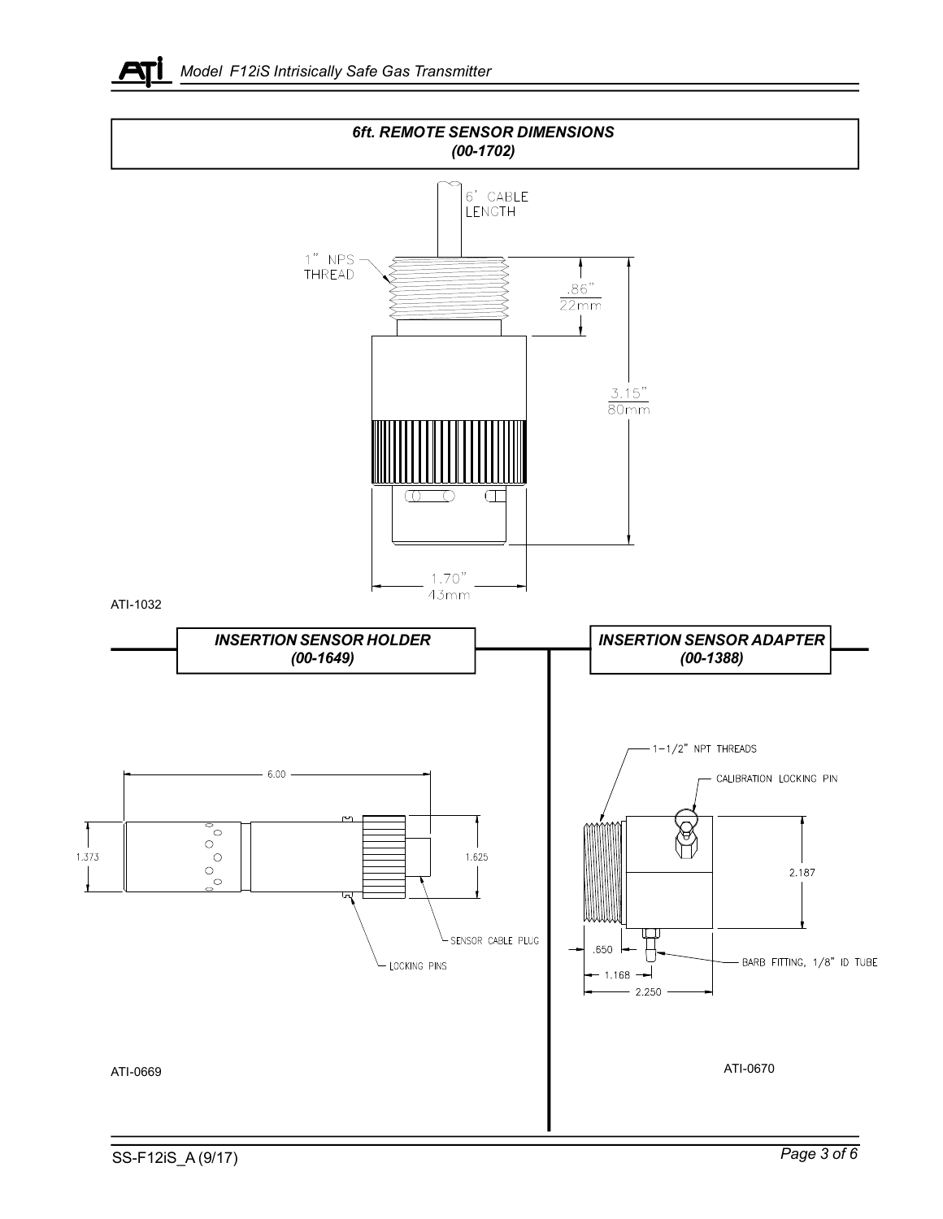

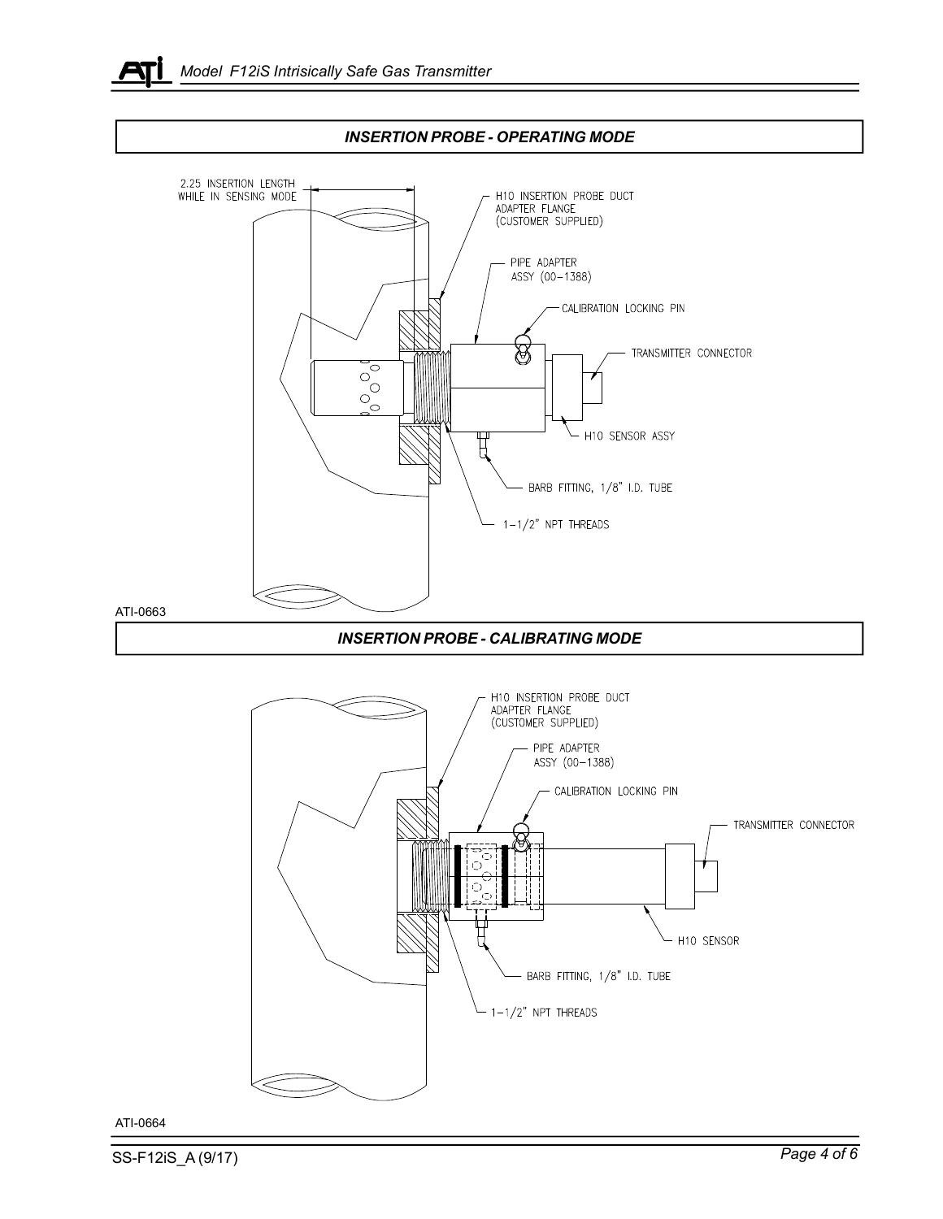





ATI-0664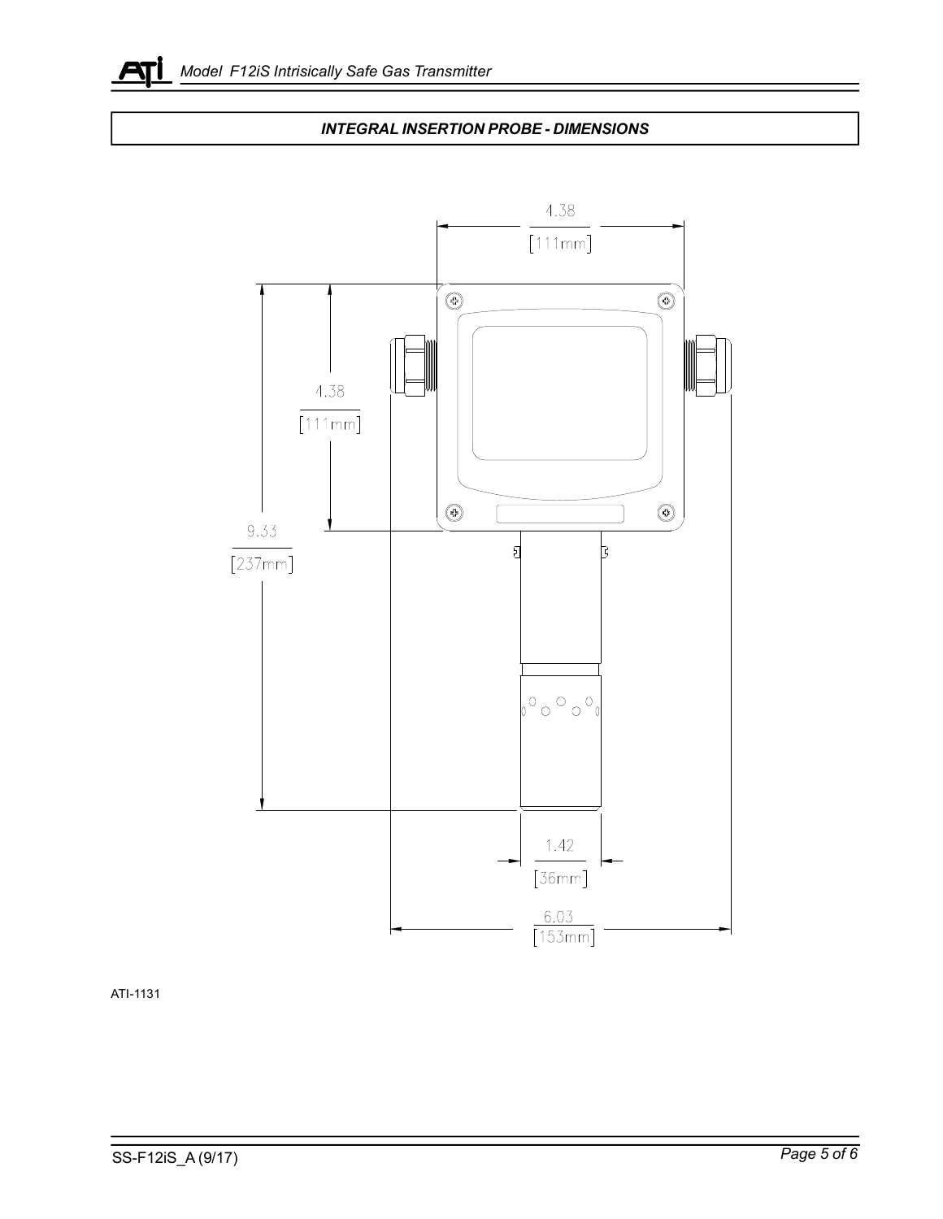

## *INTEGRAL INSERTION PROBE - DIMENSIONS*



ATI-1131